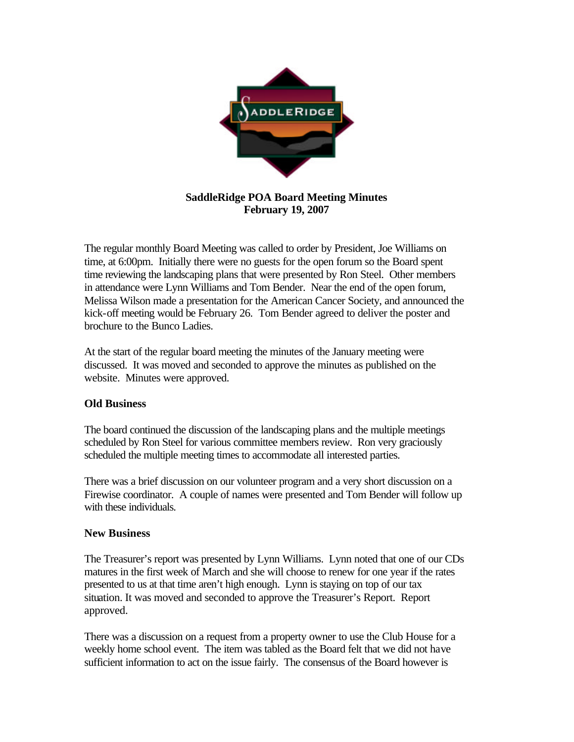

## **SaddleRidge POA Board Meeting Minutes February 19, 2007**

The regular monthly Board Meeting was called to order by President, Joe Williams on time, at 6:00pm. Initially there were no guests for the open forum so the Board spent time reviewing the landscaping plans that were presented by Ron Steel. Other members in attendance were Lynn Williams and Tom Bender. Near the end of the open forum, Melissa Wilson made a presentation for the American Cancer Society, and announced the kick-off meeting would be February 26. Tom Bender agreed to deliver the poster and brochure to the Bunco Ladies.

At the start of the regular board meeting the minutes of the January meeting were discussed. It was moved and seconded to approve the minutes as published on the website. Minutes were approved.

## **Old Business**

The board continued the discussion of the landscaping plans and the multiple meetings scheduled by Ron Steel for various committee members review. Ron very graciously scheduled the multiple meeting times to accommodate all interested parties.

There was a brief discussion on our volunteer program and a very short discussion on a Firewise coordinator. A couple of names were presented and Tom Bender will follow up with these individuals.

## **New Business**

The Treasurer's report was presented by Lynn Williams. Lynn noted that one of our CDs matures in the first week of March and she will choose to renew for one year if the rates presented to us at that time aren't high enough. Lynn is staying on top of our tax situation. It was moved and seconded to approve the Treasurer's Report. Report approved.

There was a discussion on a request from a property owner to use the Club House for a weekly home school event. The item was tabled as the Board felt that we did not have sufficient information to act on the issue fairly. The consensus of the Board however is